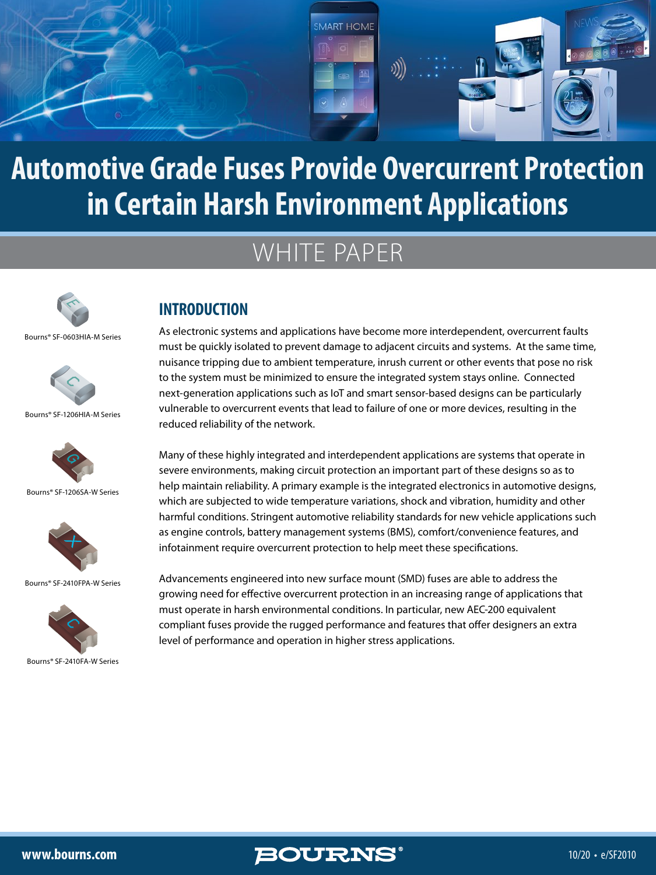

## WHITE PAPER



Bourns® SF-0603HIA-M Series



Bourns® SF-1206HIA-M Series



Bourns® SF-1206SA-W Series



Bourns® SF-2410FPA-W Series



Bourns® SF-2410FA-W Series

#### **INTRODUCTION**

As electronic systems and applications have become more interdependent, overcurrent faults must be quickly isolated to prevent damage to adjacent circuits and systems. At the same time, nuisance tripping due to ambient temperature, inrush current or other events that pose no risk to the system must be minimized to ensure the integrated system stays online. Connected next-generation applications such as IoT and smart sensor-based designs can be particularly vulnerable to overcurrent events that lead to failure of one or more devices, resulting in the reduced reliability of the network.

Many of these highly integrated and interdependent applications are systems that operate in severe environments, making circuit protection an important part of these designs so as to help maintain reliability. A primary example is the integrated electronics in automotive designs, which are subjected to wide temperature variations, shock and vibration, humidity and other harmful conditions. Stringent automotive reliability standards for new vehicle applications such as engine controls, battery management systems (BMS), comfort/convenience features, and infotainment require overcurrent protection to help meet these specifications.

Advancements engineered into new surface mount (SMD) fuses are able to address the growing need for effective overcurrent protection in an increasing range of applications that must operate in harsh environmental conditions. In particular, new AEC-200 equivalent compliant fuses provide the rugged performance and features that offer designers an extra level of performance and operation in higher stress applications.

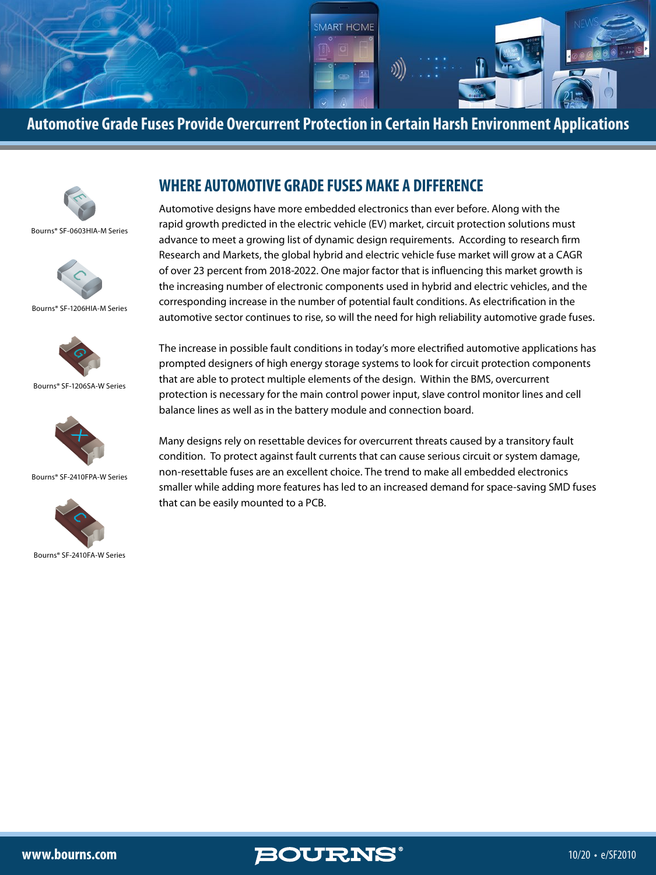



Bourns® SF-0603HIA-M Series



Bourns® SF-1206HIA-M Series



Bourns® SF-1206SA-W Series



Bourns® SF-2410FPA-W Series



Bourns® SF-2410FA-W Series

#### **WHERE AUTOMOTIVE GRADE FUSES MAKE A DIFFERENCE**

Automotive designs have more embedded electronics than ever before. Along with the rapid growth predicted in the electric vehicle (EV) market, circuit protection solutions must advance to meet a growing list of dynamic design requirements. According to research firm Research and Markets, the global hybrid and electric vehicle fuse market will grow at a CAGR of over 23 percent from 2018-2022. One major factor that is influencing this market growth is the increasing number of electronic components used in hybrid and electric vehicles, and the corresponding increase in the number of potential fault conditions. As electrification in the automotive sector continues to rise, so will the need for high reliability automotive grade fuses.

The increase in possible fault conditions in today's more electrified automotive applications has prompted designers of high energy storage systems to look for circuit protection components that are able to protect multiple elements of the design. Within the BMS, overcurrent protection is necessary for the main control power input, slave control monitor lines and cell balance lines as well as in the battery module and connection board.

Many designs rely on resettable devices for overcurrent threats caused by a transitory fault condition. To protect against fault currents that can cause serious circuit or system damage, non-resettable fuses are an excellent choice. The trend to make all embedded electronics smaller while adding more features has led to an increased demand for space-saving SMD fuses that can be easily mounted to a PCB.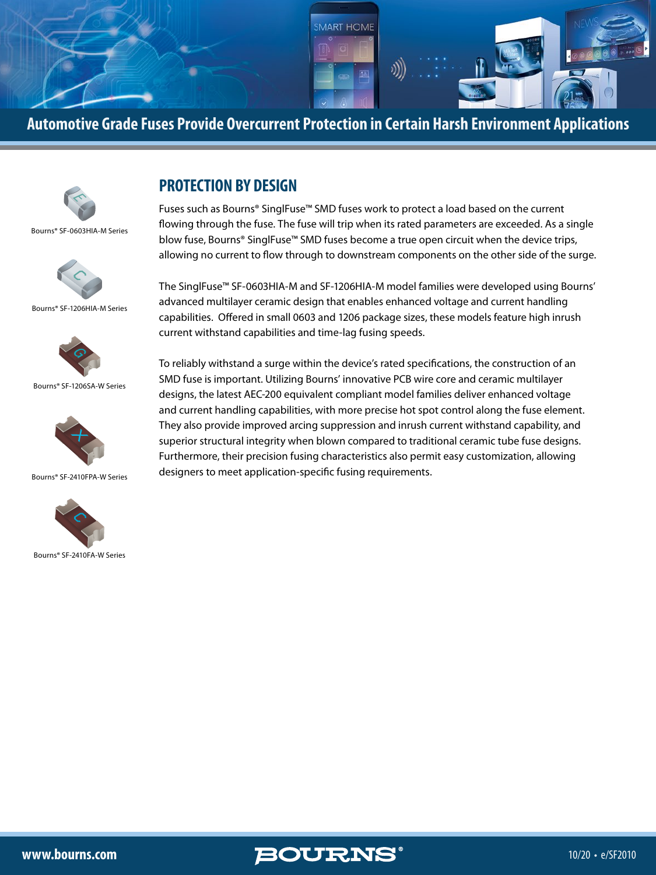



Bourns® SF-0603HIA-M Series



Bourns® SF-1206HIA-M Series



Bourns® SF-1206SA-W Series



Bourns® SF-2410FPA-W Series



Bourns® SF-2410FA-W Series

#### **PROTECTION BY DESIGN**

Fuses such as Bourns® SinglFuse™ SMD fuses work to protect a load based on the current flowing through the fuse. The fuse will trip when its rated parameters are exceeded. As a single blow fuse, Bourns® SinglFuse™ SMD fuses become a true open circuit when the device trips, allowing no current to flow through to downstream components on the other side of the surge.

The SinglFuse™ SF-0603HIA-M and SF-1206HIA-M model families were developed using Bourns' advanced multilayer ceramic design that enables enhanced voltage and current handling capabilities. Offered in small 0603 and 1206 package sizes, these models feature high inrush current withstand capabilities and time-lag fusing speeds.

To reliably withstand a surge within the device's rated specifications, the construction of an SMD fuse is important. Utilizing Bourns' innovative PCB wire core and ceramic multilayer designs, the latest AEC-200 equivalent compliant model families deliver enhanced voltage and current handling capabilities, with more precise hot spot control along the fuse element. They also provide improved arcing suppression and inrush current withstand capability, and superior structural integrity when blown compared to traditional ceramic tube fuse designs. Furthermore, their precision fusing characteristics also permit easy customization, allowing designers to meet application-specific fusing requirements.

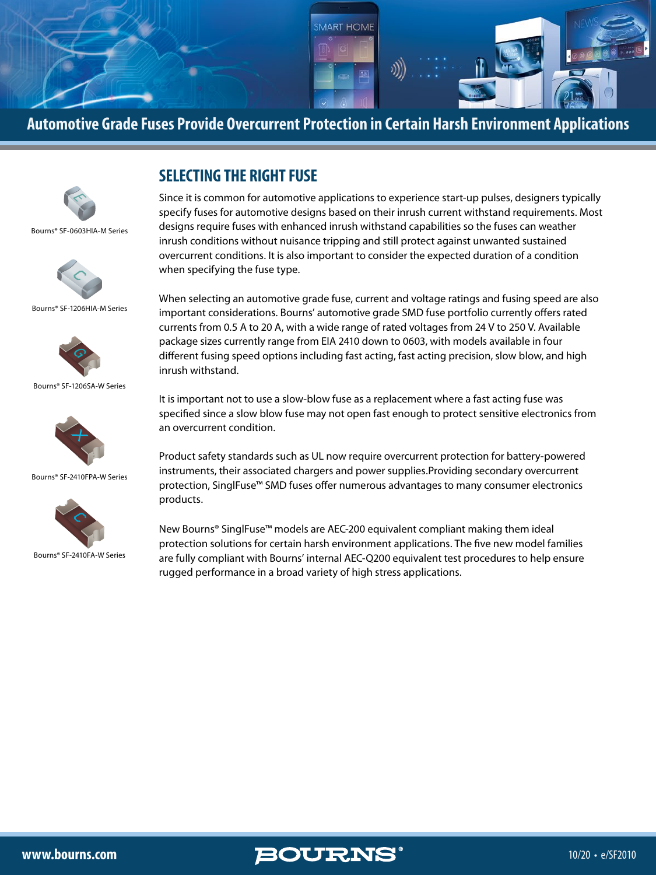



Bourns® SF-0603HIA-M Series



Bourns® SF-1206HIA-M Series



Bourns® SF-1206SA-W Series



Bourns® SF-2410FPA-W Series



Bourns® SF-2410FA-W Series

#### **SELECTING THE RIGHT FUSE**

Since it is common for automotive applications to experience start-up pulses, designers typically specify fuses for automotive designs based on their inrush current withstand requirements. Most designs require fuses with enhanced inrush withstand capabilities so the fuses can weather inrush conditions without nuisance tripping and still protect against unwanted sustained overcurrent conditions. It is also important to consider the expected duration of a condition when specifying the fuse type.

When selecting an automotive grade fuse, current and voltage ratings and fusing speed are also important considerations. Bourns' automotive grade SMD fuse portfolio currently offers rated currents from 0.5 A to 20 A, with a wide range of rated voltages from 24 V to 250 V. Available package sizes currently range from EIA 2410 down to 0603, with models available in four different fusing speed options including fast acting, fast acting precision, slow blow, and high inrush withstand.

It is important not to use a slow-blow fuse as a replacement where a fast acting fuse was specified since a slow blow fuse may not open fast enough to protect sensitive electronics from an overcurrent condition.

Product safety standards such as UL now require overcurrent protection for battery-powered instruments, their associated chargers and power supplies.Providing secondary overcurrent protection, SinglFuse™ SMD fuses offer numerous advantages to many consumer electronics products.

New Bourns® SinglFuse™ models are AEC-200 equivalent compliant making them ideal protection solutions for certain harsh environment applications. The five new model families are fully compliant with Bourns' internal AEC-Q200 equivalent test procedures to help ensure rugged performance in a broad variety of high stress applications.

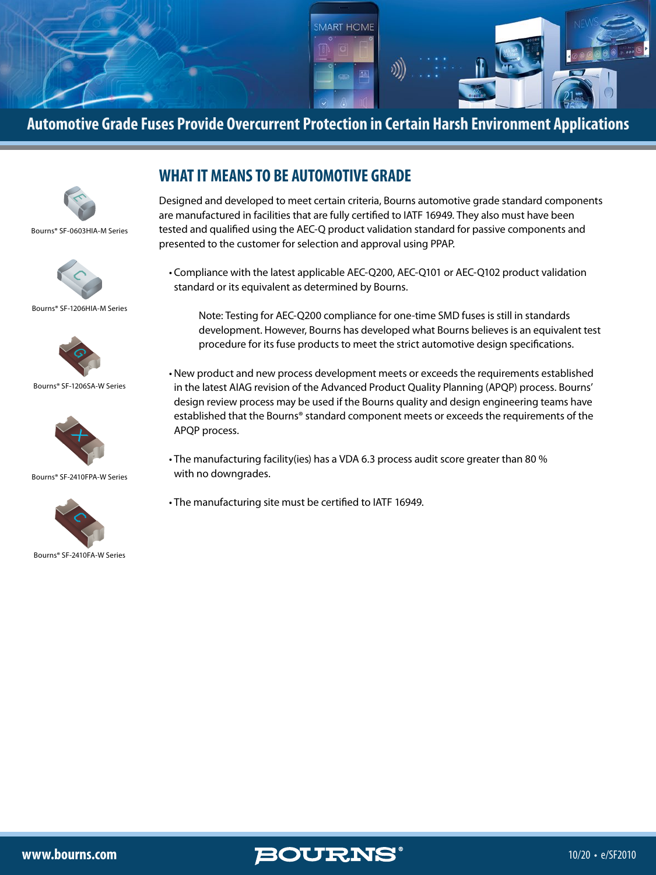



Bourns® SF-0603HIA-M Series



Bourns® SF-1206HIA-M Series



Bourns® SF-1206SA-W Series



Bourns® SF-2410FPA-W Series



Bourns® SF-2410FA-W Series

#### **WHAT IT MEANS TO BE AUTOMOTIVE GRADE**

Designed and developed to meet certain criteria, Bourns automotive grade standard components are manufactured in facilities that are fully certified to IATF 16949. They also must have been tested and qualified using the AEC-Q product validation standard for passive components and presented to the customer for selection and approval using PPAP.

• Compliance with the latest applicable AEC-Q200, AEC-Q101 or AEC-Q102 product validation standard or its equivalent as determined by Bourns.

 Note: Testing for AEC-Q200 compliance for one-time SMD fuses is still in standards development. However, Bourns has developed what Bourns believes is an equivalent test procedure for its fuse products to meet the strict automotive design specifications.

- New product and new process development meets or exceeds the requirements established in the latest AIAG revision of the Advanced Product Quality Planning (APQP) process. Bourns' design review process may be used if the Bourns quality and design engineering teams have established that the Bourns® standard component meets or exceeds the requirements of the APQP process.
- The manufacturing facility(ies) has a VDA 6.3 process audit score greater than 80 % with no downgrades.
- The manufacturing site must be certified to IATF 16949.

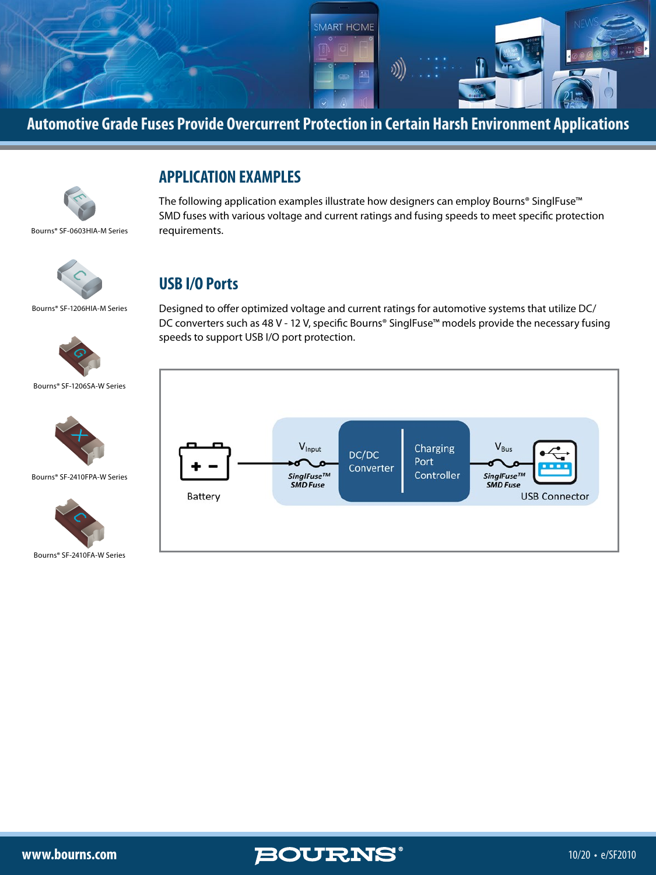



Bourns® SF-0603HIA-M Series

#### **APPLICATION EXAMPLES**

The following application examples illustrate how designers can employ Bourns® SinglFuse™ SMD fuses with various voltage and current ratings and fusing speeds to meet specific protection requirements.



#### **USB I/O Ports**

Bourns® SF-1206HIA-M Series



Bourns® SF-1206SA-W Series



Bourns® SF-2410FPA-W Series



Bourns® SF-2410FA-W Series

Designed to offer optimized voltage and current ratings for automotive systems that utilize DC/ DC converters such as 48 V - 12 V, specific Bourns® SinglFuse™ models provide the necessary fusing speeds to support USB I/O port protection.



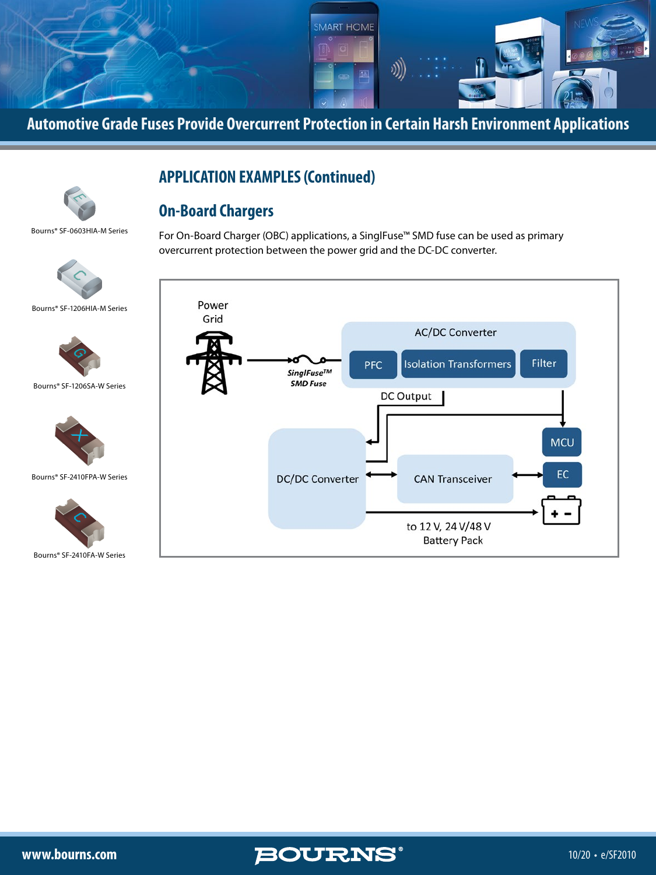

overcurrent protection between the power grid and the DC-DC converter.

For On-Board Charger (OBC) applications, a SinglFuse™ SMD fuse can be used as primary

### **APPLICATION EXAMPLES (Continued)**

#### **On-Board Chargers**

Bourns® SF-0603HIA-M Series

 $\prec$ 



Bourns® SF-1206HIA-M Series



Bourns® SF-1206SA-W Series



Bourns® SF-2410FPA-W Series



Bourns® SF-2410FA-W Series



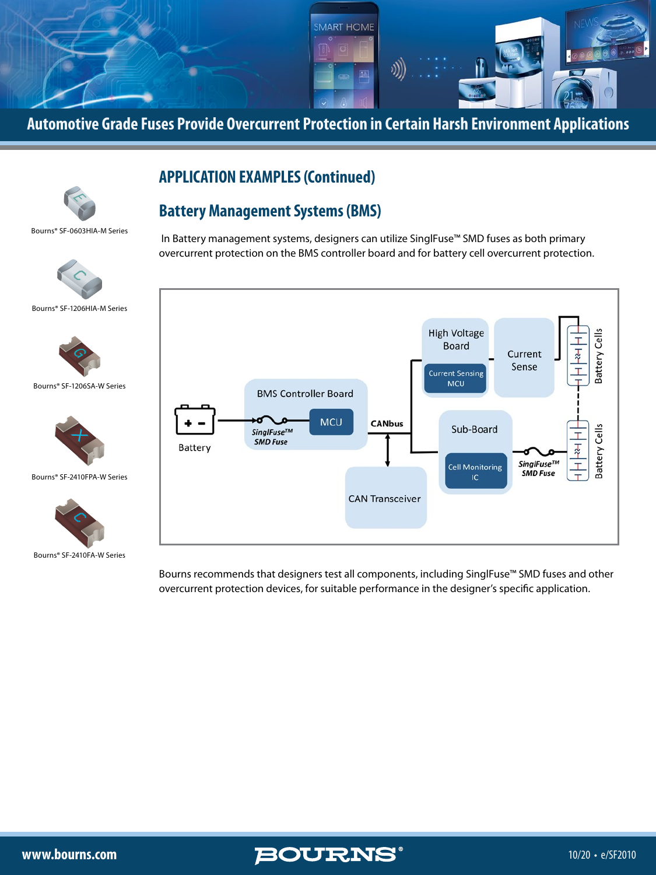

**Automotive Grade Fuses Provide Overcurrent Protection in Certain Harsh Environment Applications**

#### **APPLICATION EXAMPLES (Continued)**

#### **Battery Management Systems (BMS)**

Bourns® SF-0603HIA-M Series

 $\prec$ 



Bourns® SF-1206HIA-M Series



Bourns® SF-1206SA-W Series



Bourns® SF-2410FPA-W Series



Bourns® SF-2410FA-W Series

 In Battery management systems, designers can utilize SinglFuse™ SMD fuses as both primary overcurrent protection on the BMS controller board and for battery cell overcurrent protection.



Bourns recommends that designers test all components, including SinglFuse™ SMD fuses and other overcurrent protection devices, for suitable performance in the designer's specific application.